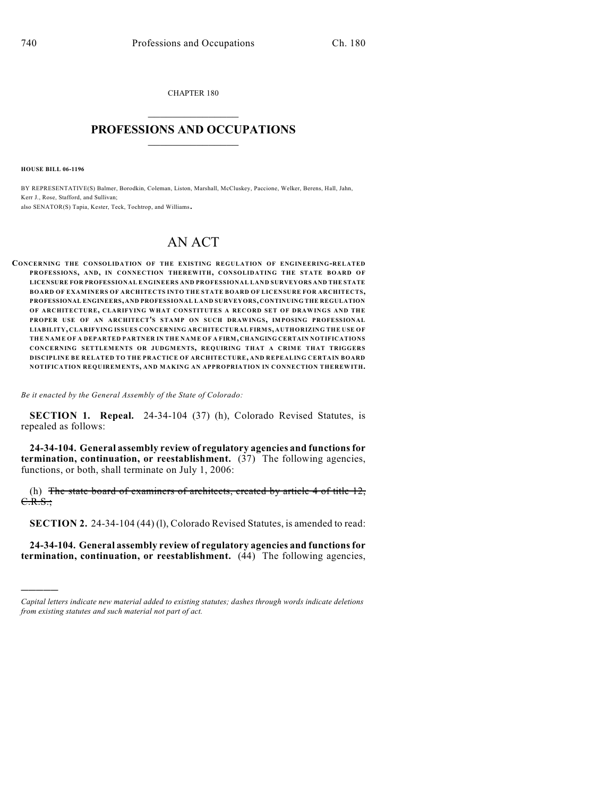CHAPTER 180  $\mathcal{L}_\text{max}$  . The set of the set of the set of the set of the set of the set of the set of the set of the set of the set of the set of the set of the set of the set of the set of the set of the set of the set of the set

## **PROFESSIONS AND OCCUPATIONS**  $\frac{1}{2}$  ,  $\frac{1}{2}$  ,  $\frac{1}{2}$  ,  $\frac{1}{2}$  ,  $\frac{1}{2}$  ,  $\frac{1}{2}$

**HOUSE BILL 06-1196**

)))))

BY REPRESENTATIVE(S) Balmer, Borodkin, Coleman, Liston, Marshall, McCluskey, Paccione, Welker, Berens, Hall, Jahn, Kerr J., Rose, Stafford, and Sullivan; also SENATOR(S) Tapia, Kester, Teck, Tochtrop, and Williams.

# AN ACT

**CONCERNING THE CONSOLIDATION OF THE EXISTING REGULATION OF ENGINEERING-RELATED PROFESSIONS, AND, IN CONNECTION THEREWITH, CONSOLIDATING THE STATE BOARD OF LICENSURE FOR PROFESSIONAL ENGINEERS AND PROFESSIONAL LAND SURVEYORS AND THE STATE BOARD OF EXAMINERS OF ARCHITECTS INTO THE STATE BOARD OF LICENSURE FOR ARCHITECTS, PROFESSIONAL ENGINEERS, AND PROFESSIONAL LAND SURVEYORS, CONTINUING THE REGULATION OF ARCHITECTURE, CLARIFYING WHAT CONSTITUTES A RECORD SET OF DRAWINGS AND THE PROPER USE OF AN ARCHITECT'S STAMP ON SUCH DRAWINGS, IMPOSING PROFESSIONAL LIABILITY, CLARIFYING ISSUES CONCERNING ARCHITECTURAL FIRM S, AUTHORIZING THE USE OF THE NAME OF A DEPARTED PARTNER IN THE NAME OF A FIRM, CHANGING CERTAIN NOTIFICATIONS CONCERNING SETTLEMENTS OR JUDGMENTS, REQUIRING THAT A CRIME THAT TRIGGERS DISCIPLINE BE RELATED TO THE PRACTICE OF ARCHITECTURE, AND REPEALING CERTAIN BOARD NOTIFICATION REQUIREMENTS, AND MAKING AN APPROPRIATION IN CONNECTION THEREWITH.**

*Be it enacted by the General Assembly of the State of Colorado:*

**SECTION 1. Repeal.** 24-34-104 (37) (h), Colorado Revised Statutes, is repealed as follows:

**24-34-104. General assembly review of regulatory agencies and functions for termination, continuation, or reestablishment.** (37) The following agencies, functions, or both, shall terminate on July 1, 2006:

(h) The state board of examiners of architects, created by article  $4$  of title  $12$ , C.R.S.;

**SECTION 2.** 24-34-104 (44) (1), Colorado Revised Statutes, is amended to read:

**24-34-104. General assembly review of regulatory agencies and functions for termination, continuation, or reestablishment.** (44) The following agencies,

*Capital letters indicate new material added to existing statutes; dashes through words indicate deletions from existing statutes and such material not part of act.*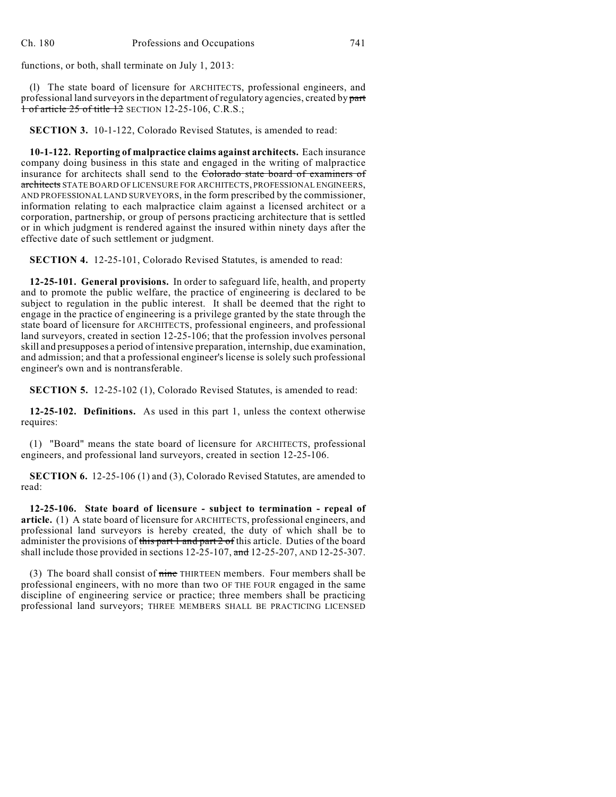functions, or both, shall terminate on July 1, 2013:

(l) The state board of licensure for ARCHITECTS, professional engineers, and professional land surveyors in the department of regulatory agencies, created by part 1 of article 25 of title 12 SECTION 12-25-106, C.R.S.;

**SECTION 3.** 10-1-122, Colorado Revised Statutes, is amended to read:

**10-1-122. Reporting of malpractice claims against architects.** Each insurance company doing business in this state and engaged in the writing of malpractice insurance for architects shall send to the Colorado state board of examiners of architects STATE BOARD OF LICENSURE FOR ARCHITECTS, PROFESSIONAL ENGINEERS, AND PROFESSIONAL LAND SURVEYORS, in the form prescribed by the commissioner, information relating to each malpractice claim against a licensed architect or a corporation, partnership, or group of persons practicing architecture that is settled or in which judgment is rendered against the insured within ninety days after the effective date of such settlement or judgment.

**SECTION 4.** 12-25-101, Colorado Revised Statutes, is amended to read:

**12-25-101. General provisions.** In order to safeguard life, health, and property and to promote the public welfare, the practice of engineering is declared to be subject to regulation in the public interest. It shall be deemed that the right to engage in the practice of engineering is a privilege granted by the state through the state board of licensure for ARCHITECTS, professional engineers, and professional land surveyors, created in section 12-25-106; that the profession involves personal skill and presupposes a period of intensive preparation, internship, due examination, and admission; and that a professional engineer's license is solely such professional engineer's own and is nontransferable.

**SECTION 5.** 12-25-102 (1), Colorado Revised Statutes, is amended to read:

**12-25-102. Definitions.** As used in this part 1, unless the context otherwise requires:

(1) "Board" means the state board of licensure for ARCHITECTS, professional engineers, and professional land surveyors, created in section 12-25-106.

**SECTION 6.** 12-25-106 (1) and (3), Colorado Revised Statutes, are amended to read:

**12-25-106. State board of licensure - subject to termination - repeal of article.** (1) A state board of licensure for ARCHITECTS, professional engineers, and professional land surveyors is hereby created, the duty of which shall be to administer the provisions of this part 1 and part 2 of this article. Duties of the board shall include those provided in sections  $12-25-107$ , and  $12-25-207$ , AND  $12-25-307$ .

(3) The board shall consist of nine THIRTEEN members. Four members shall be professional engineers, with no more than two OF THE FOUR engaged in the same discipline of engineering service or practice; three members shall be practicing professional land surveyors; THREE MEMBERS SHALL BE PRACTICING LICENSED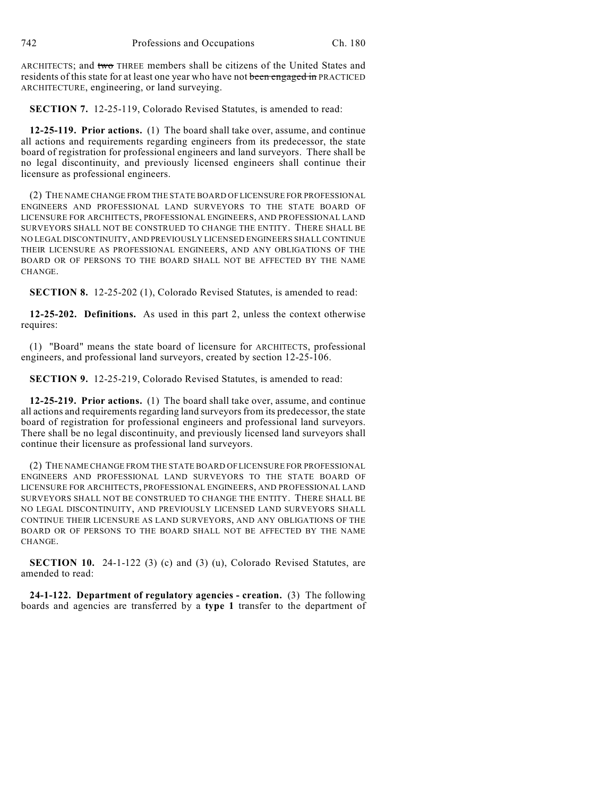ARCHITECTS; and two THREE members shall be citizens of the United States and residents of this state for at least one year who have not been engaged in PRACTICED ARCHITECTURE, engineering, or land surveying.

**SECTION 7.** 12-25-119, Colorado Revised Statutes, is amended to read:

**12-25-119. Prior actions.** (1) The board shall take over, assume, and continue all actions and requirements regarding engineers from its predecessor, the state board of registration for professional engineers and land surveyors. There shall be no legal discontinuity, and previously licensed engineers shall continue their licensure as professional engineers.

(2) THE NAME CHANGE FROM THE STATE BOARD OF LICENSURE FOR PROFESSIONAL ENGINEERS AND PROFESSIONAL LAND SURVEYORS TO THE STATE BOARD OF LICENSURE FOR ARCHITECTS, PROFESSIONAL ENGINEERS, AND PROFESSIONAL LAND SURVEYORS SHALL NOT BE CONSTRUED TO CHANGE THE ENTITY. THERE SHALL BE NO LEGAL DISCONTINUITY, AND PREVIOUSLY LICENSED ENGINEERS SHALL CONTINUE THEIR LICENSURE AS PROFESSIONAL ENGINEERS, AND ANY OBLIGATIONS OF THE BOARD OR OF PERSONS TO THE BOARD SHALL NOT BE AFFECTED BY THE NAME CHANGE.

**SECTION 8.** 12-25-202 (1), Colorado Revised Statutes, is amended to read:

**12-25-202. Definitions.** As used in this part 2, unless the context otherwise requires:

(1) "Board" means the state board of licensure for ARCHITECTS, professional engineers, and professional land surveyors, created by section 12-25-106.

**SECTION 9.** 12-25-219, Colorado Revised Statutes, is amended to read:

**12-25-219. Prior actions.** (1) The board shall take over, assume, and continue all actions and requirements regarding land surveyorsfrom its predecessor, the state board of registration for professional engineers and professional land surveyors. There shall be no legal discontinuity, and previously licensed land surveyors shall continue their licensure as professional land surveyors.

(2) THE NAME CHANGE FROM THE STATE BOARD OF LICENSURE FOR PROFESSIONAL ENGINEERS AND PROFESSIONAL LAND SURVEYORS TO THE STATE BOARD OF LICENSURE FOR ARCHITECTS, PROFESSIONAL ENGINEERS, AND PROFESSIONAL LAND SURVEYORS SHALL NOT BE CONSTRUED TO CHANGE THE ENTITY. THERE SHALL BE NO LEGAL DISCONTINUITY, AND PREVIOUSLY LICENSED LAND SURVEYORS SHALL CONTINUE THEIR LICENSURE AS LAND SURVEYORS, AND ANY OBLIGATIONS OF THE BOARD OR OF PERSONS TO THE BOARD SHALL NOT BE AFFECTED BY THE NAME CHANGE.

**SECTION 10.** 24-1-122 (3) (c) and (3) (u), Colorado Revised Statutes, are amended to read:

**24-1-122. Department of regulatory agencies - creation.** (3) The following boards and agencies are transferred by a **type 1** transfer to the department of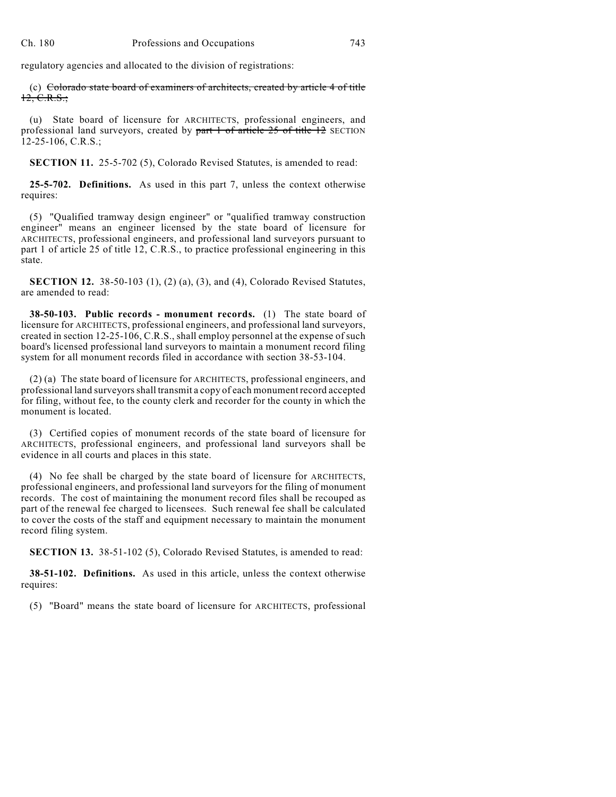regulatory agencies and allocated to the division of registrations:

(c) Colorado state board of examiners of architects, created by article 4 of title  $12, C.R.S.$ ;

(u) State board of licensure for ARCHITECTS, professional engineers, and professional land surveyors, created by part 1 of article 25 of title 12 SECTION 12-25-106, C.R.S.;

**SECTION 11.** 25-5-702 (5), Colorado Revised Statutes, is amended to read:

**25-5-702. Definitions.** As used in this part 7, unless the context otherwise requires:

(5) "Qualified tramway design engineer" or "qualified tramway construction engineer" means an engineer licensed by the state board of licensure for ARCHITECTS, professional engineers, and professional land surveyors pursuant to part 1 of article 25 of title 12, C.R.S., to practice professional engineering in this state.

**SECTION 12.** 38-50-103 (1), (2) (a), (3), and (4), Colorado Revised Statutes, are amended to read:

**38-50-103. Public records - monument records.** (1) The state board of licensure for ARCHITECTS, professional engineers, and professional land surveyors, created in section 12-25-106, C.R.S., shall employ personnel at the expense of such board's licensed professional land surveyors to maintain a monument record filing system for all monument records filed in accordance with section 38-53-104.

(2) (a) The state board of licensure for ARCHITECTS, professional engineers, and professional land surveyors shall transmit a copy of each monument record accepted for filing, without fee, to the county clerk and recorder for the county in which the monument is located.

(3) Certified copies of monument records of the state board of licensure for ARCHITECTS, professional engineers, and professional land surveyors shall be evidence in all courts and places in this state.

(4) No fee shall be charged by the state board of licensure for ARCHITECTS, professional engineers, and professional land surveyors for the filing of monument records. The cost of maintaining the monument record files shall be recouped as part of the renewal fee charged to licensees. Such renewal fee shall be calculated to cover the costs of the staff and equipment necessary to maintain the monument record filing system.

**SECTION 13.** 38-51-102 (5), Colorado Revised Statutes, is amended to read:

**38-51-102. Definitions.** As used in this article, unless the context otherwise requires:

(5) "Board" means the state board of licensure for ARCHITECTS, professional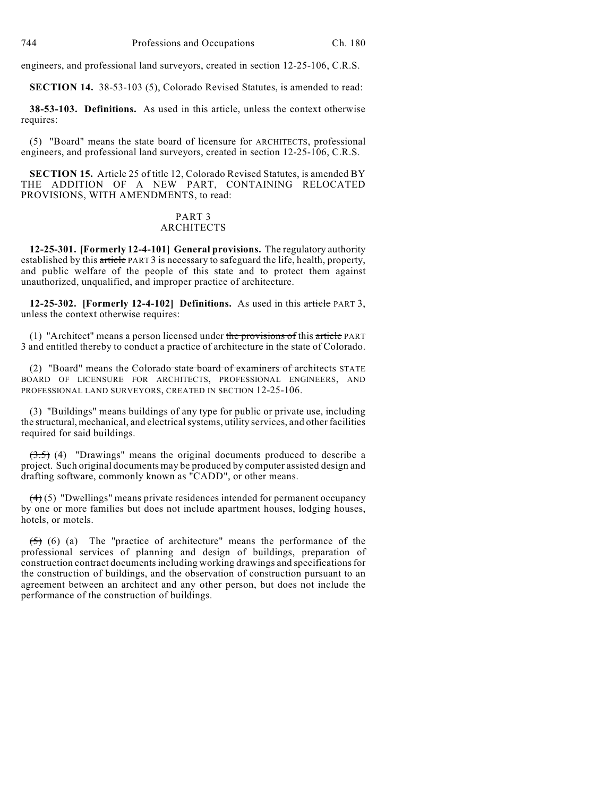engineers, and professional land surveyors, created in section 12-25-106, C.R.S.

**SECTION 14.** 38-53-103 (5), Colorado Revised Statutes, is amended to read:

**38-53-103. Definitions.** As used in this article, unless the context otherwise requires:

(5) "Board" means the state board of licensure for ARCHITECTS, professional engineers, and professional land surveyors, created in section 12-25-106, C.R.S.

**SECTION 15.** Article 25 of title 12, Colorado Revised Statutes, is amended BY THE ADDITION OF A NEW PART, CONTAINING RELOCATED PROVISIONS, WITH AMENDMENTS, to read:

#### PART 3 ARCHITECTS

**12-25-301. [Formerly 12-4-101] General provisions.** The regulatory authority established by this article PART 3 is necessary to safeguard the life, health, property, and public welfare of the people of this state and to protect them against unauthorized, unqualified, and improper practice of architecture.

**12-25-302. [Formerly 12-4-102] Definitions.** As used in this article PART 3, unless the context otherwise requires:

(1) "Architect" means a person licensed under the provisions of this article PART 3 and entitled thereby to conduct a practice of architecture in the state of Colorado.

(2) "Board" means the Colorado state board of examiners of architects STATE BOARD OF LICENSURE FOR ARCHITECTS, PROFESSIONAL ENGINEERS, AND PROFESSIONAL LAND SURVEYORS, CREATED IN SECTION 12-25-106.

(3) "Buildings" means buildings of any type for public or private use, including the structural, mechanical, and electrical systems, utility services, and other facilities required for said buildings.

 $(3.5)$  (4) "Drawings" means the original documents produced to describe a project. Such original documents may be produced by computer assisted design and drafting software, commonly known as "CADD", or other means.

 $(4)(5)$  "Dwellings" means private residences intended for permanent occupancy by one or more families but does not include apartment houses, lodging houses, hotels, or motels.

 $(5)$  (6) (a) The "practice of architecture" means the performance of the professional services of planning and design of buildings, preparation of construction contract documents including working drawings and specifications for the construction of buildings, and the observation of construction pursuant to an agreement between an architect and any other person, but does not include the performance of the construction of buildings.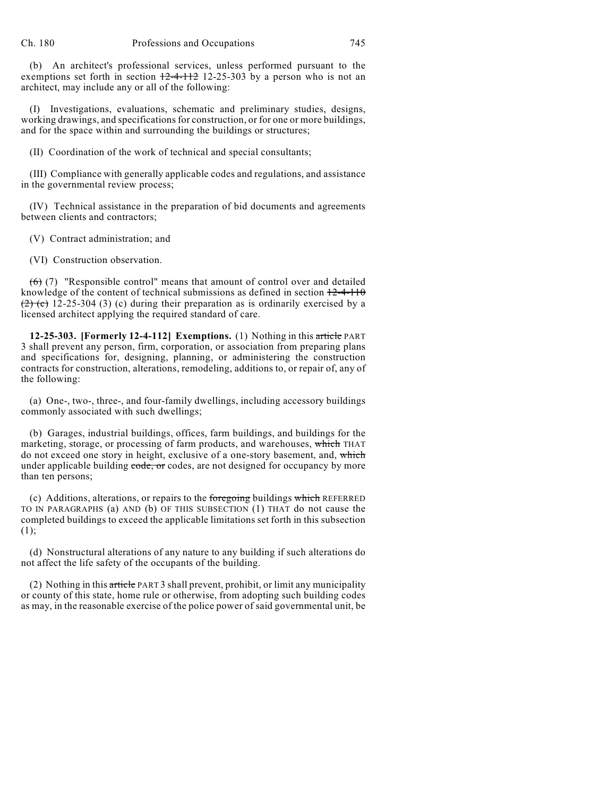(b) An architect's professional services, unless performed pursuant to the exemptions set forth in section  $+2-4-112$  12-25-303 by a person who is not an architect, may include any or all of the following:

(I) Investigations, evaluations, schematic and preliminary studies, designs, working drawings, and specifications for construction, or for one or more buildings, and for the space within and surrounding the buildings or structures;

(II) Coordination of the work of technical and special consultants;

(III) Compliance with generally applicable codes and regulations, and assistance in the governmental review process;

(IV) Technical assistance in the preparation of bid documents and agreements between clients and contractors;

(V) Contract administration; and

(VI) Construction observation.

 $(6)$  (7) "Responsible control" means that amount of control over and detailed knowledge of the content of technical submissions as defined in section  $12-4-110$  $(2)$  (c) 12-25-304 (3) (c) during their preparation as is ordinarily exercised by a licensed architect applying the required standard of care.

**12-25-303. [Formerly 12-4-112] Exemptions.** (1) Nothing in this article PART 3 shall prevent any person, firm, corporation, or association from preparing plans and specifications for, designing, planning, or administering the construction contracts for construction, alterations, remodeling, additions to, or repair of, any of the following:

(a) One-, two-, three-, and four-family dwellings, including accessory buildings commonly associated with such dwellings;

(b) Garages, industrial buildings, offices, farm buildings, and buildings for the marketing, storage, or processing of farm products, and warehouses, which THAT do not exceed one story in height, exclusive of a one-story basement, and, which under applicable building code, or codes, are not designed for occupancy by more than ten persons;

(c) Additions, alterations, or repairs to the foregoing buildings which REFERRED TO IN PARAGRAPHS (a) AND (b) OF THIS SUBSECTION (1) THAT do not cause the completed buildings to exceed the applicable limitations set forth in this subsection (1);

(d) Nonstructural alterations of any nature to any building if such alterations do not affect the life safety of the occupants of the building.

(2) Nothing in this article PART 3 shall prevent, prohibit, or limit any municipality or county of this state, home rule or otherwise, from adopting such building codes as may, in the reasonable exercise of the police power of said governmental unit, be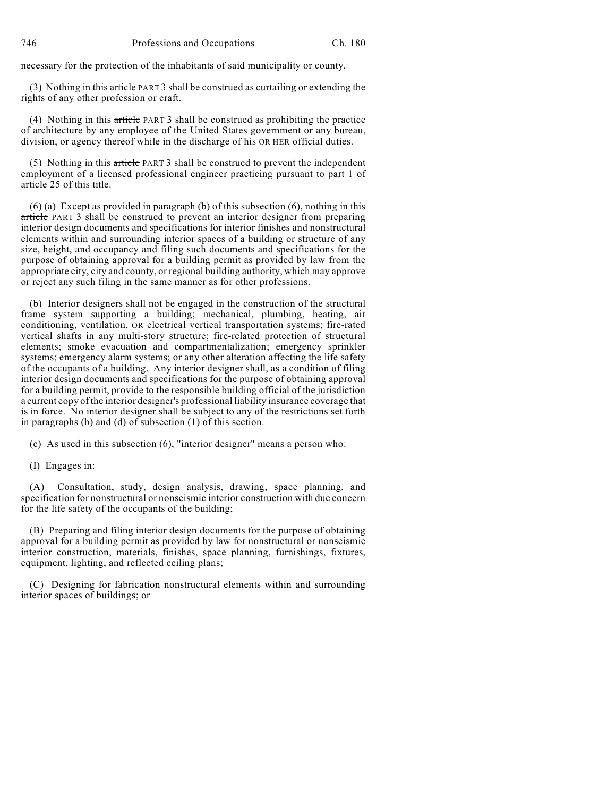necessary for the protection of the inhabitants of said municipality or county.

(3) Nothing in this article PART 3 shall be construed as curtailing or extending the rights of any other profession or craft.

(4) Nothing in this article PART 3 shall be construed as prohibiting the practice of architecture by any employee of the United States government or any bureau, division, or agency thereof while in the discharge of his OR HER official duties.

(5) Nothing in this article PART 3 shall be construed to prevent the independent employment of a licensed professional engineer practicing pursuant to part 1 of article 25 of this title.

 $(6)$  (a) Except as provided in paragraph (b) of this subsection  $(6)$ , nothing in this article PART 3 shall be construed to prevent an interior designer from preparing interior design documents and specifications for interior finishes and nonstructural elements within and surrounding interior spaces of a building or structure of any size, height, and occupancy and filing such documents and specifications for the purpose of obtaining approval for a building permit as provided by law from the appropriate city, city and county, or regional building authority, which may approve or reject any such filing in the same manner as for other professions.

(b) Interior designers shall not be engaged in the construction of the structural frame system supporting a building; mechanical, plumbing, heating, air conditioning, ventilation, OR electrical vertical transportation systems; fire-rated vertical shafts in any multi-story structure; fire-related protection of structural elements; smoke evacuation and compartmentalization; emergency sprinkler systems; emergency alarm systems; or any other alteration affecting the life safety of the occupants of a building. Any interior designer shall, as a condition of filing interior design documents and specifications for the purpose of obtaining approval for a building permit, provide to the responsible building official of the jurisdiction a current copy of the interior designer's professional liability insurance coverage that is in force. No interior designer shall be subject to any of the restrictions set forth in paragraphs (b) and (d) of subsection (1) of this section.

(c) As used in this subsection (6), "interior designer" means a person who:

(I) Engages in:

(A) Consultation, study, design analysis, drawing, space planning, and specification for nonstructural or nonseismic interior construction with due concern for the life safety of the occupants of the building;

(B) Preparing and filing interior design documents for the purpose of obtaining approval for a building permit as provided by law for nonstructural or nonseismic interior construction, materials, finishes, space planning, furnishings, fixtures, equipment, lighting, and reflected ceiling plans;

(C) Designing for fabrication nonstructural elements within and surrounding interior spaces of buildings; or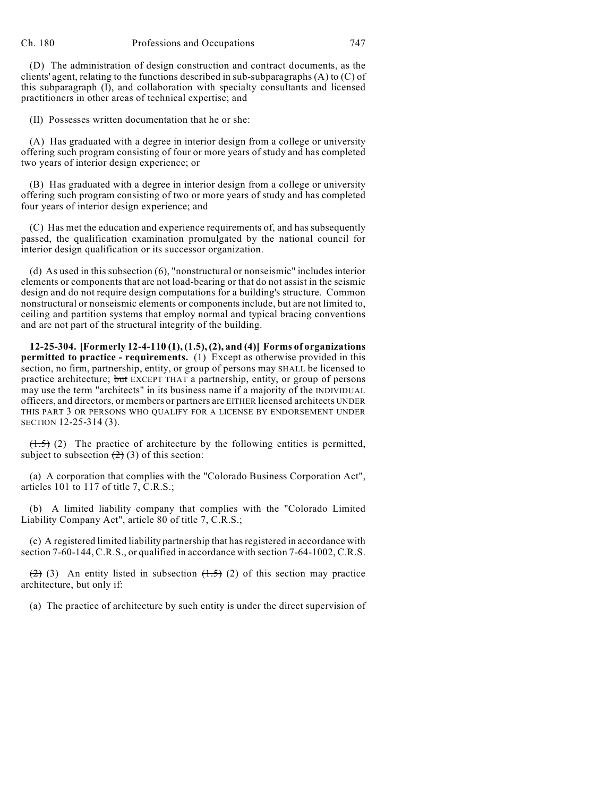(D) The administration of design construction and contract documents, as the clients' agent, relating to the functions described in sub-subparagraphs (A) to (C) of this subparagraph (I), and collaboration with specialty consultants and licensed practitioners in other areas of technical expertise; and

(II) Possesses written documentation that he or she:

(A) Has graduated with a degree in interior design from a college or university offering such program consisting of four or more years of study and has completed two years of interior design experience; or

(B) Has graduated with a degree in interior design from a college or university offering such program consisting of two or more years of study and has completed four years of interior design experience; and

(C) Has met the education and experience requirements of, and has subsequently passed, the qualification examination promulgated by the national council for interior design qualification or its successor organization.

(d) As used in this subsection (6), "nonstructural or nonseismic" includes interior elements or components that are not load-bearing or that do not assist in the seismic design and do not require design computations for a building's structure. Common nonstructural or nonseismic elements or components include, but are not limited to, ceiling and partition systems that employ normal and typical bracing conventions and are not part of the structural integrity of the building.

**12-25-304. [Formerly 12-4-110 (1), (1.5), (2), and (4)] Forms of organizations permitted to practice - requirements.** (1) Except as otherwise provided in this section, no firm, partnership, entity, or group of persons may SHALL be licensed to practice architecture; but EXCEPT THAT a partnership, entity, or group of persons may use the term "architects" in its business name if a majority of the INDIVIDUAL officers, and directors, or members or partners are EITHER licensed architects UNDER THIS PART 3 OR PERSONS WHO QUALIFY FOR A LICENSE BY ENDORSEMENT UNDER SECTION 12-25-314 (3).

 $(1.5)$  (2) The practice of architecture by the following entities is permitted, subject to subsection  $(2)$  (3) of this section:

(a) A corporation that complies with the "Colorado Business Corporation Act", articles 101 to 117 of title 7, C.R.S.;

(b) A limited liability company that complies with the "Colorado Limited Liability Company Act", article 80 of title 7, C.R.S.;

(c) A registered limited liability partnership that has registered in accordance with section 7-60-144, C.R.S., or qualified in accordance with section 7-64-1002, C.R.S.

 $(2)$  (3) An entity listed in subsection  $(1.5)$  (2) of this section may practice architecture, but only if:

(a) The practice of architecture by such entity is under the direct supervision of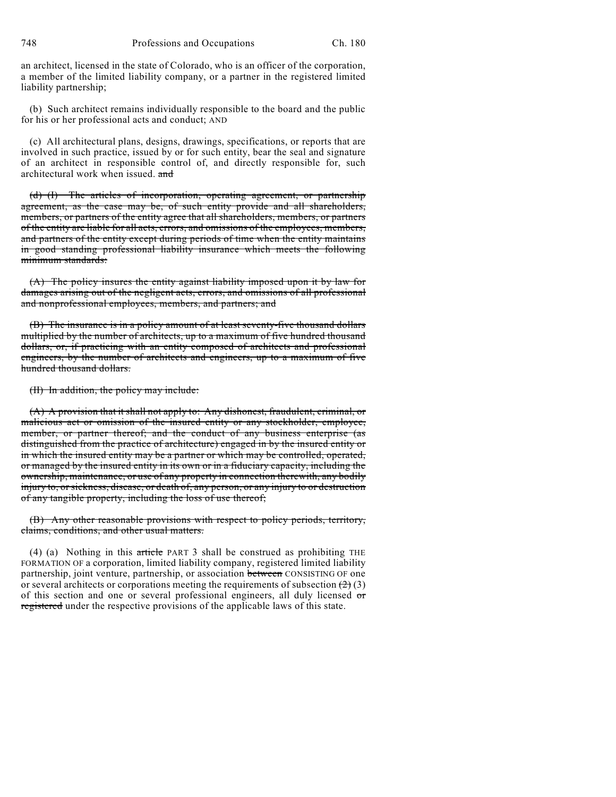an architect, licensed in the state of Colorado, who is an officer of the corporation, a member of the limited liability company, or a partner in the registered limited liability partnership;

(b) Such architect remains individually responsible to the board and the public for his or her professional acts and conduct; AND

(c) All architectural plans, designs, drawings, specifications, or reports that are involved in such practice, issued by or for such entity, bear the seal and signature of an architect in responsible control of, and directly responsible for, such architectural work when issued. and

(d) (I) The articles of incorporation, operating agreement, or partnership agreement, as the case may be, of such entity provide and all shareholders, members, or partners of the entity agree that all shareholders, members, or partners of the entity are liable for all acts, errors, and omissions of the employees, members, and partners of the entity except during periods of time when the entity maintains in good standing professional liability insurance which meets the following minimum standards:

(A) The policy insures the entity against liability imposed upon it by law for damages arising out of the negligent acts, errors, and omissions of all professional and nonprofessional employees, members, and partners; and

(B) The insurance is in a policy amount of at least seventy-five thousand dollars multiplied by the number of architects, up to a maximum of five hundred thousand dollars, or, if practicing with an entity composed of architects and professional engineers, by the number of architects and engineers, up to a maximum of five hundred thousand dollars.

(II) In addition, the policy may include:

(A) A provision that it shall not apply to: Any dishonest, fraudulent, criminal, or malicious act or omission of the insured entity or any stockholder, employee, member, or partner thereof; and the conduct of any business enterprise (as distinguished from the practice of architecture) engaged in by the insured entity or in which the insured entity may be a partner or which may be controlled, operated, or managed by the insured entity in its own or in a fiduciary capacity, including the ownership, maintenance, or use of any property in connection therewith, any bodily injury to, or sickness, disease, or death of, any person, or any injury to or destruction of any tangible property, including the loss of use thereof;

(B) Any other reasonable provisions with respect to policy periods, territory, claims, conditions, and other usual matters.

(4) (a) Nothing in this article PART 3 shall be construed as prohibiting THE FORMATION OF a corporation, limited liability company, registered limited liability partnership, joint venture, partnership, or association between CONSISTING OF one or several architects or corporations meeting the requirements of subsection  $(2)$  (3) of this section and one or several professional engineers, all duly licensed or registered under the respective provisions of the applicable laws of this state.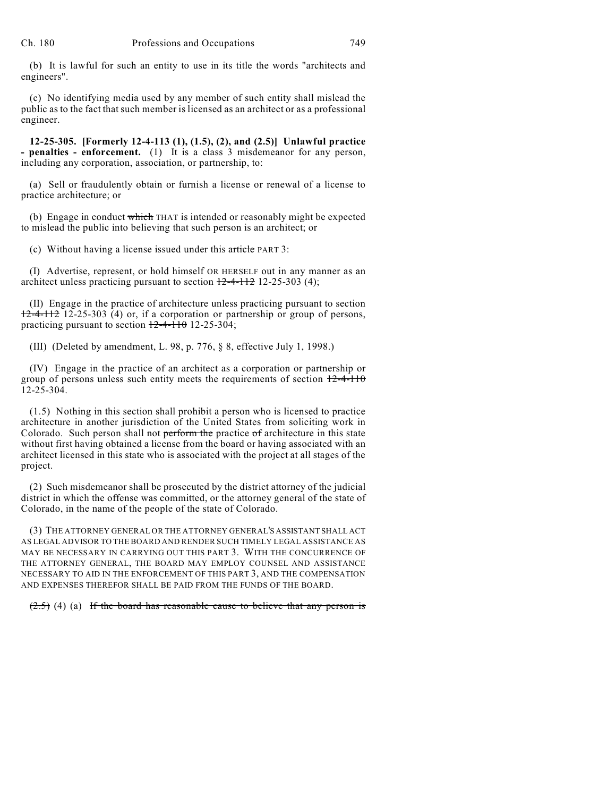(b) It is lawful for such an entity to use in its title the words "architects and engineers".

(c) No identifying media used by any member of such entity shall mislead the public as to the fact that such member is licensed as an architect or as a professional engineer.

**12-25-305. [Formerly 12-4-113 (1), (1.5), (2), and (2.5)] Unlawful practice - penalties - enforcement.** (1) It is a class 3 misdemeanor for any person, including any corporation, association, or partnership, to:

(a) Sell or fraudulently obtain or furnish a license or renewal of a license to practice architecture; or

(b) Engage in conduct which THAT is intended or reasonably might be expected to mislead the public into believing that such person is an architect; or

(c) Without having a license issued under this article PART 3:

(I) Advertise, represent, or hold himself OR HERSELF out in any manner as an architect unless practicing pursuant to section  $\frac{12-4-112}{2}$  12-25-303 (4);

(II) Engage in the practice of architecture unless practicing pursuant to section 12-4-112 12-25-303 (4) or, if a corporation or partnership or group of persons, practicing pursuant to section  $\frac{12-4-110}{2}$  12-25-304;

(III) (Deleted by amendment, L. 98, p. 776, § 8, effective July 1, 1998.)

(IV) Engage in the practice of an architect as a corporation or partnership or group of persons unless such entity meets the requirements of section  $12-4-110$ 12-25-304.

(1.5) Nothing in this section shall prohibit a person who is licensed to practice architecture in another jurisdiction of the United States from soliciting work in Colorado. Such person shall not perform the practice of architecture in this state without first having obtained a license from the board or having associated with an architect licensed in this state who is associated with the project at all stages of the project.

(2) Such misdemeanor shall be prosecuted by the district attorney of the judicial district in which the offense was committed, or the attorney general of the state of Colorado, in the name of the people of the state of Colorado.

(3) THE ATTORNEY GENERAL OR THE ATTORNEY GENERAL'S ASSISTANT SHALL ACT AS LEGAL ADVISOR TO THE BOARD AND RENDER SUCH TIMELY LEGAL ASSISTANCE AS MAY BE NECESSARY IN CARRYING OUT THIS PART 3. WITH THE CONCURRENCE OF THE ATTORNEY GENERAL, THE BOARD MAY EMPLOY COUNSEL AND ASSISTANCE NECESSARY TO AID IN THE ENFORCEMENT OF THIS PART 3, AND THE COMPENSATION AND EXPENSES THEREFOR SHALL BE PAID FROM THE FUNDS OF THE BOARD.

 $(2.5)$  (4) (a) If the board has reasonable cause to believe that any person is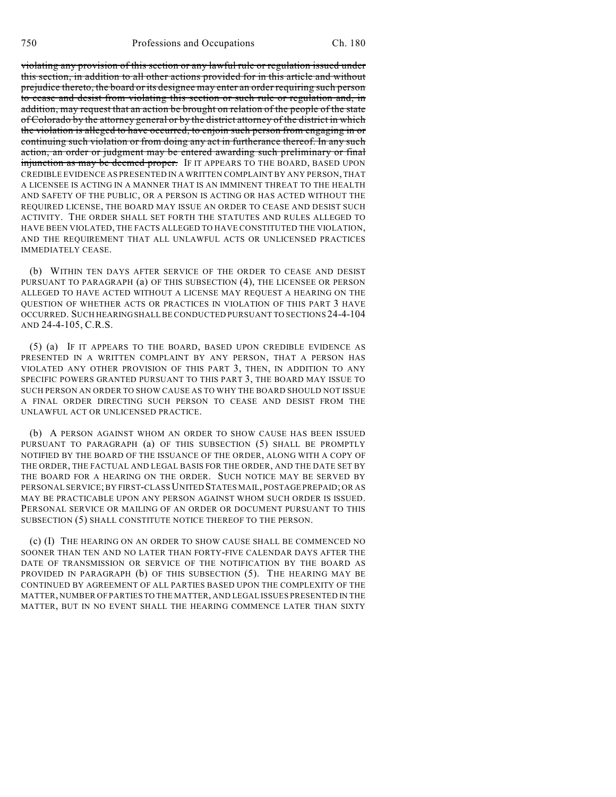violating any provision of this section or any lawful rule or regulation issued under this section, in addition to all other actions provided for in this article and without prejudice thereto, the board or its designee may enter an order requiring such person to cease and desist from violating this section or such rule or regulation and, in addition, may request that an action be brought on relation of the people of the state of Colorado by the attorney general or by the district attorney of the district in which the violation is alleged to have occurred, to enjoin such person from engaging in or continuing such violation or from doing any act in furtherance thereof. In any such action, an order or judgment may be entered awarding such preliminary or final injunction as may be deemed proper. IF IT APPEARS TO THE BOARD, BASED UPON CREDIBLE EVIDENCE AS PRESENTED IN A WRITTEN COMPLAINT BY ANY PERSON, THAT A LICENSEE IS ACTING IN A MANNER THAT IS AN IMMINENT THREAT TO THE HEALTH AND SAFETY OF THE PUBLIC, OR A PERSON IS ACTING OR HAS ACTED WITHOUT THE REQUIRED LICENSE, THE BOARD MAY ISSUE AN ORDER TO CEASE AND DESIST SUCH ACTIVITY. THE ORDER SHALL SET FORTH THE STATUTES AND RULES ALLEGED TO HAVE BEEN VIOLATED, THE FACTS ALLEGED TO HAVE CONSTITUTED THE VIOLATION, AND THE REQUIREMENT THAT ALL UNLAWFUL ACTS OR UNLICENSED PRACTICES IMMEDIATELY CEASE.

(b) WITHIN TEN DAYS AFTER SERVICE OF THE ORDER TO CEASE AND DESIST PURSUANT TO PARAGRAPH (a) OF THIS SUBSECTION (4), THE LICENSEE OR PERSON ALLEGED TO HAVE ACTED WITHOUT A LICENSE MAY REQUEST A HEARING ON THE QUESTION OF WHETHER ACTS OR PRACTICES IN VIOLATION OF THIS PART 3 HAVE OCCURRED. SUCH HEARING SHALL BE CONDUCTED PURSUANT TO SECTIONS 24-4-104 AND 24-4-105, C.R.S.

(5) (a) IF IT APPEARS TO THE BOARD, BASED UPON CREDIBLE EVIDENCE AS PRESENTED IN A WRITTEN COMPLAINT BY ANY PERSON, THAT A PERSON HAS VIOLATED ANY OTHER PROVISION OF THIS PART 3, THEN, IN ADDITION TO ANY SPECIFIC POWERS GRANTED PURSUANT TO THIS PART 3, THE BOARD MAY ISSUE TO SUCH PERSON AN ORDER TO SHOW CAUSE AS TO WHY THE BOARD SHOULD NOT ISSUE A FINAL ORDER DIRECTING SUCH PERSON TO CEASE AND DESIST FROM THE UNLAWFUL ACT OR UNLICENSED PRACTICE.

(b) A PERSON AGAINST WHOM AN ORDER TO SHOW CAUSE HAS BEEN ISSUED PURSUANT TO PARAGRAPH (a) OF THIS SUBSECTION (5) SHALL BE PROMPTLY NOTIFIED BY THE BOARD OF THE ISSUANCE OF THE ORDER, ALONG WITH A COPY OF THE ORDER, THE FACTUAL AND LEGAL BASIS FOR THE ORDER, AND THE DATE SET BY THE BOARD FOR A HEARING ON THE ORDER. SUCH NOTICE MAY BE SERVED BY PERSONAL SERVICE; BY FIRST-CLASS UNITED STATES MAIL, POSTAGE PREPAID; OR AS MAY BE PRACTICABLE UPON ANY PERSON AGAINST WHOM SUCH ORDER IS ISSUED. PERSONAL SERVICE OR MAILING OF AN ORDER OR DOCUMENT PURSUANT TO THIS SUBSECTION (5) SHALL CONSTITUTE NOTICE THEREOF TO THE PERSON.

(c) (I) THE HEARING ON AN ORDER TO SHOW CAUSE SHALL BE COMMENCED NO SOONER THAN TEN AND NO LATER THAN FORTY-FIVE CALENDAR DAYS AFTER THE DATE OF TRANSMISSION OR SERVICE OF THE NOTIFICATION BY THE BOARD AS PROVIDED IN PARAGRAPH (b) OF THIS SUBSECTION (5). THE HEARING MAY BE CONTINUED BY AGREEMENT OF ALL PARTIES BASED UPON THE COMPLEXITY OF THE MATTER, NUMBER OF PARTIES TO THE MATTER, AND LEGAL ISSUES PRESENTED IN THE MATTER, BUT IN NO EVENT SHALL THE HEARING COMMENCE LATER THAN SIXTY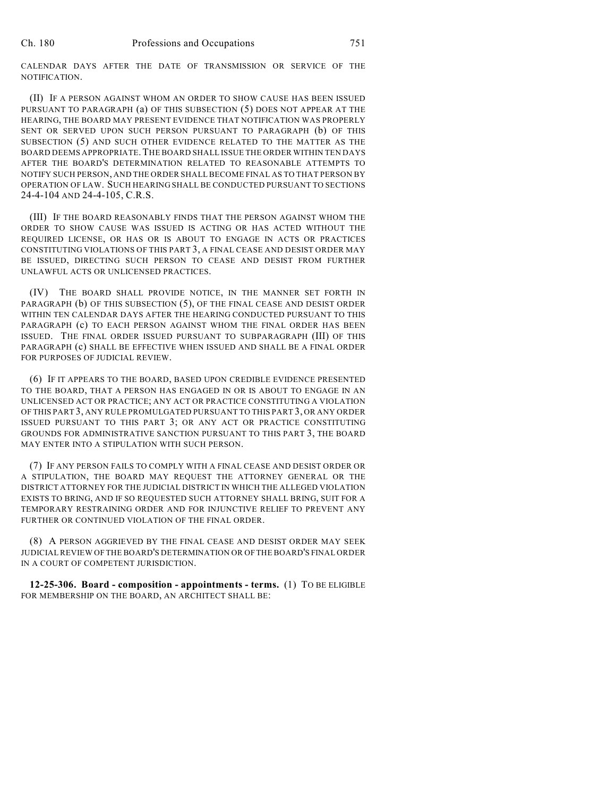CALENDAR DAYS AFTER THE DATE OF TRANSMISSION OR SERVICE OF THE NOTIFICATION.

(II) IF A PERSON AGAINST WHOM AN ORDER TO SHOW CAUSE HAS BEEN ISSUED PURSUANT TO PARAGRAPH (a) OF THIS SUBSECTION (5) DOES NOT APPEAR AT THE HEARING, THE BOARD MAY PRESENT EVIDENCE THAT NOTIFICATION WAS PROPERLY SENT OR SERVED UPON SUCH PERSON PURSUANT TO PARAGRAPH (b) OF THIS SUBSECTION (5) AND SUCH OTHER EVIDENCE RELATED TO THE MATTER AS THE BOARD DEEMS APPROPRIATE.THE BOARD SHALL ISSUE THE ORDER WITHIN TEN DAYS AFTER THE BOARD'S DETERMINATION RELATED TO REASONABLE ATTEMPTS TO NOTIFY SUCH PERSON, AND THE ORDER SHALLBECOME FINAL AS TO THAT PERSON BY OPERATION OF LAW. SUCH HEARING SHALL BE CONDUCTED PURSUANT TO SECTIONS 24-4-104 AND 24-4-105, C.R.S.

(III) IF THE BOARD REASONABLY FINDS THAT THE PERSON AGAINST WHOM THE ORDER TO SHOW CAUSE WAS ISSUED IS ACTING OR HAS ACTED WITHOUT THE REQUIRED LICENSE, OR HAS OR IS ABOUT TO ENGAGE IN ACTS OR PRACTICES CONSTITUTING VIOLATIONS OF THIS PART 3, A FINAL CEASE AND DESIST ORDER MAY BE ISSUED, DIRECTING SUCH PERSON TO CEASE AND DESIST FROM FURTHER UNLAWFUL ACTS OR UNLICENSED PRACTICES.

(IV) THE BOARD SHALL PROVIDE NOTICE, IN THE MANNER SET FORTH IN PARAGRAPH (b) OF THIS SUBSECTION (5), OF THE FINAL CEASE AND DESIST ORDER WITHIN TEN CALENDAR DAYS AFTER THE HEARING CONDUCTED PURSUANT TO THIS PARAGRAPH (c) TO EACH PERSON AGAINST WHOM THE FINAL ORDER HAS BEEN ISSUED. THE FINAL ORDER ISSUED PURSUANT TO SUBPARAGRAPH (III) OF THIS PARAGRAPH (c) SHALL BE EFFECTIVE WHEN ISSUED AND SHALL BE A FINAL ORDER FOR PURPOSES OF JUDICIAL REVIEW.

(6) IF IT APPEARS TO THE BOARD, BASED UPON CREDIBLE EVIDENCE PRESENTED TO THE BOARD, THAT A PERSON HAS ENGAGED IN OR IS ABOUT TO ENGAGE IN AN UNLICENSED ACT OR PRACTICE; ANY ACT OR PRACTICE CONSTITUTING A VIOLATION OF THIS PART 3, ANY RULE PROMULGATED PURSUANT TO THIS PART 3, OR ANY ORDER ISSUED PURSUANT TO THIS PART 3; OR ANY ACT OR PRACTICE CONSTITUTING GROUNDS FOR ADMINISTRATIVE SANCTION PURSUANT TO THIS PART 3, THE BOARD MAY ENTER INTO A STIPULATION WITH SUCH PERSON.

(7) IF ANY PERSON FAILS TO COMPLY WITH A FINAL CEASE AND DESIST ORDER OR A STIPULATION, THE BOARD MAY REQUEST THE ATTORNEY GENERAL OR THE DISTRICT ATTORNEY FOR THE JUDICIAL DISTRICT IN WHICH THE ALLEGED VIOLATION EXISTS TO BRING, AND IF SO REQUESTED SUCH ATTORNEY SHALL BRING, SUIT FOR A TEMPORARY RESTRAINING ORDER AND FOR INJUNCTIVE RELIEF TO PREVENT ANY FURTHER OR CONTINUED VIOLATION OF THE FINAL ORDER.

(8) A PERSON AGGRIEVED BY THE FINAL CEASE AND DESIST ORDER MAY SEEK JUDICIAL REVIEW OF THE BOARD'S DETERMINATION OR OF THE BOARD'S FINAL ORDER IN A COURT OF COMPETENT JURISDICTION.

**12-25-306. Board - composition - appointments - terms.** (1) TO BE ELIGIBLE FOR MEMBERSHIP ON THE BOARD, AN ARCHITECT SHALL BE: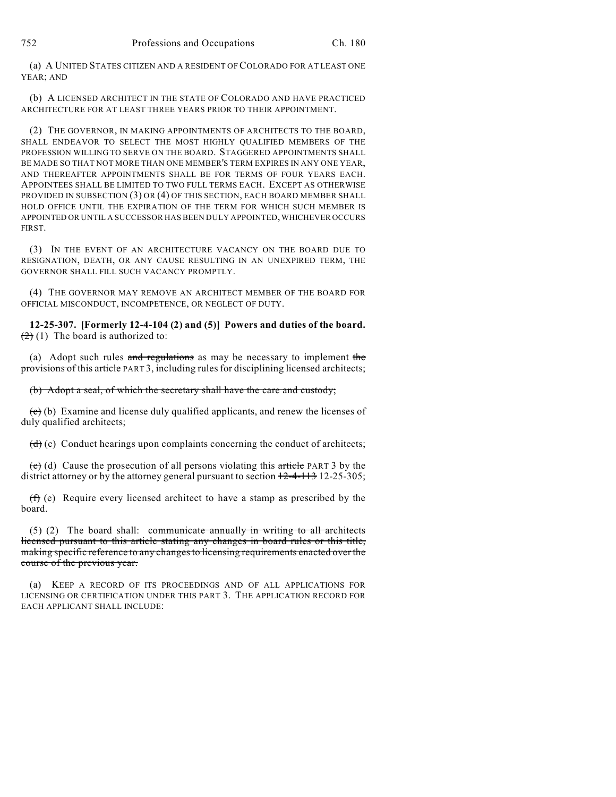(a) A UNITED STATES CITIZEN AND A RESIDENT OF COLORADO FOR AT LEAST ONE YEAR; AND

(b) A LICENSED ARCHITECT IN THE STATE OF COLORADO AND HAVE PRACTICED ARCHITECTURE FOR AT LEAST THREE YEARS PRIOR TO THEIR APPOINTMENT.

(2) THE GOVERNOR, IN MAKING APPOINTMENTS OF ARCHITECTS TO THE BOARD, SHALL ENDEAVOR TO SELECT THE MOST HIGHLY QUALIFIED MEMBERS OF THE PROFESSION WILLING TO SERVE ON THE BOARD. STAGGERED APPOINTMENTS SHALL BE MADE SO THAT NOT MORE THAN ONE MEMBER'S TERM EXPIRES IN ANY ONE YEAR, AND THEREAFTER APPOINTMENTS SHALL BE FOR TERMS OF FOUR YEARS EACH. APPOINTEES SHALL BE LIMITED TO TWO FULL TERMS EACH. EXCEPT AS OTHERWISE PROVIDED IN SUBSECTION (3) OR (4) OF THIS SECTION, EACH BOARD MEMBER SHALL HOLD OFFICE UNTIL THE EXPIRATION OF THE TERM FOR WHICH SUCH MEMBER IS APPOINTED OR UNTIL A SUCCESSOR HAS BEEN DULY APPOINTED, WHICHEVER OCCURS FIRST.

(3) IN THE EVENT OF AN ARCHITECTURE VACANCY ON THE BOARD DUE TO RESIGNATION, DEATH, OR ANY CAUSE RESULTING IN AN UNEXPIRED TERM, THE GOVERNOR SHALL FILL SUCH VACANCY PROMPTLY.

(4) THE GOVERNOR MAY REMOVE AN ARCHITECT MEMBER OF THE BOARD FOR OFFICIAL MISCONDUCT, INCOMPETENCE, OR NEGLECT OF DUTY.

**12-25-307. [Formerly 12-4-104 (2) and (5)] Powers and duties of the board.**  $(2)$  (1) The board is authorized to:

(a) Adopt such rules and regulations as may be necessary to implement the provisions of this article PART 3, including rules for disciplining licensed architects;

(b) Adopt a seal, of which the secretary shall have the care and custody;

 $\left(\frac{\mathbf{c}}{\mathbf{c}}\right)$  (b) Examine and license duly qualified applicants, and renew the licenses of duly qualified architects;

 $(d)$  (c) Conduct hearings upon complaints concerning the conduct of architects;

 $(e)$  (d) Cause the prosecution of all persons violating this article PART 3 by the district attorney or by the attorney general pursuant to section  $12-4-113$  12-25-305;

(f) (e) Require every licensed architect to have a stamp as prescribed by the board.

 $(5)$  (2) The board shall: communicate annually in writing to all architects licensed pursuant to this article stating any changes in board rules or this title, making specific reference to any changes to licensing requirements enacted over the course of the previous year.

(a) KEEP A RECORD OF ITS PROCEEDINGS AND OF ALL APPLICATIONS FOR LICENSING OR CERTIFICATION UNDER THIS PART 3. THE APPLICATION RECORD FOR EACH APPLICANT SHALL INCLUDE: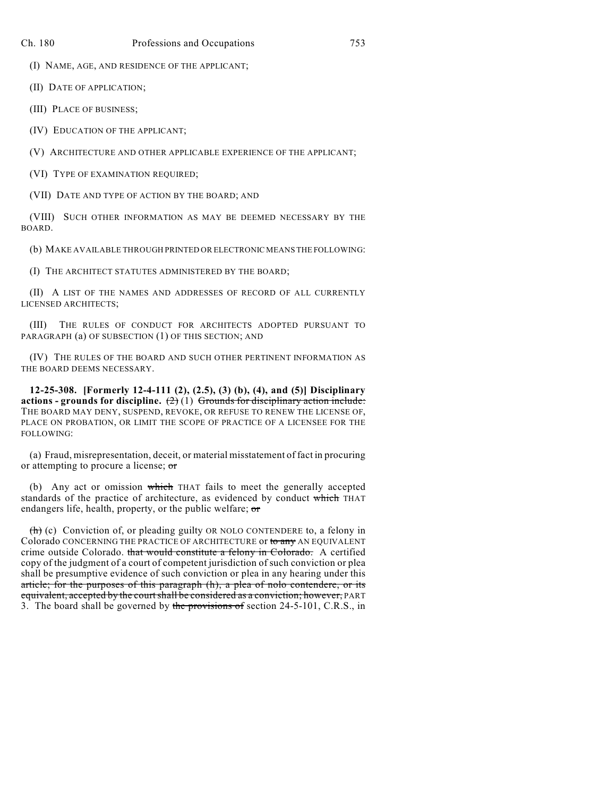(I) NAME, AGE, AND RESIDENCE OF THE APPLICANT;

(II) DATE OF APPLICATION;

(III) PLACE OF BUSINESS;

(IV) EDUCATION OF THE APPLICANT;

(V) ARCHITECTURE AND OTHER APPLICABLE EXPERIENCE OF THE APPLICANT;

(VI) TYPE OF EXAMINATION REQUIRED;

(VII) DATE AND TYPE OF ACTION BY THE BOARD; AND

(VIII) SUCH OTHER INFORMATION AS MAY BE DEEMED NECESSARY BY THE BOARD.

(b) MAKE AVAILABLE THROUGH PRINTED OR ELECTRONIC MEANS THE FOLLOWING:

(I) THE ARCHITECT STATUTES ADMINISTERED BY THE BOARD;

(II) A LIST OF THE NAMES AND ADDRESSES OF RECORD OF ALL CURRENTLY LICENSED ARCHITECTS;

(III) THE RULES OF CONDUCT FOR ARCHITECTS ADOPTED PURSUANT TO PARAGRAPH (a) OF SUBSECTION (1) OF THIS SECTION; AND

(IV) THE RULES OF THE BOARD AND SUCH OTHER PERTINENT INFORMATION AS THE BOARD DEEMS NECESSARY.

**12-25-308. [Formerly 12-4-111 (2), (2.5), (3) (b), (4), and (5)] Disciplinary actions - grounds for discipline.** (2) (1) Grounds for disciplinary action include: THE BOARD MAY DENY, SUSPEND, REVOKE, OR REFUSE TO RENEW THE LICENSE OF, PLACE ON PROBATION, OR LIMIT THE SCOPE OF PRACTICE OF A LICENSEE FOR THE FOLLOWING:

(a) Fraud, misrepresentation, deceit, or material misstatement of fact in procuring or attempting to procure a license; or

(b) Any act or omission which THAT fails to meet the generally accepted standards of the practice of architecture, as evidenced by conduct which THAT endangers life, health, property, or the public welfare; or

 $(h)$  (c) Conviction of, or pleading guilty OR NOLO CONTENDERE to, a felony in Colorado CONCERNING THE PRACTICE OF ARCHITECTURE or to any AN EQUIVALENT crime outside Colorado. that would constitute a felony in Colorado. A certified copy of the judgment of a court of competent jurisdiction of such conviction or plea shall be presumptive evidence of such conviction or plea in any hearing under this article; for the purposes of this paragraph (h), a plea of nolo contendere, or its equivalent, accepted by the court shall be considered as a conviction; however, PART 3. The board shall be governed by the provisions of section 24-5-101, C.R.S., in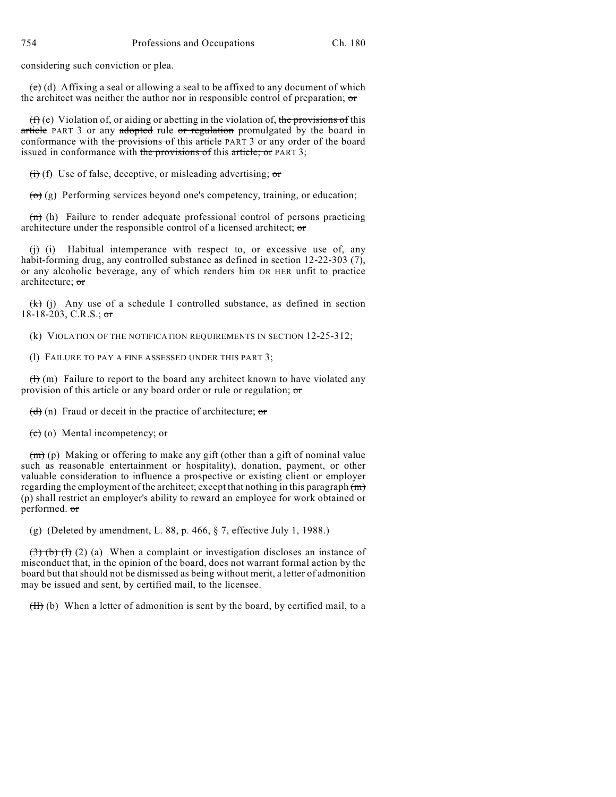considering such conviction or plea.

 $(e)$  (d) Affixing a seal or allowing a seal to be affixed to any document of which the architect was neither the author nor in responsible control of preparation; or

 $(f)$  (e) Violation of, or aiding or abetting in the violation of, the provisions of this article PART 3 or any adopted rule or regulation promulgated by the board in conformance with the provisions of this article PART 3 or any order of the board issued in conformance with the provisions of this article; or PART 3;

 $\overrightarrow{(t)}$  (f) Use of false, deceptive, or misleading advertising; or

 $\overrightarrow{(o)}(g)$  Performing services beyond one's competency, training, or education;

 $\overline{(n)}$  (h) Failure to render adequate professional control of persons practicing architecture under the responsible control of a licensed architect; or

 $(i)$  Habitual intemperance with respect to, or excessive use of, any habit-forming drug, any controlled substance as defined in section 12-22-303 (7), or any alcoholic beverage, any of which renders him OR HER unfit to practice architecture; or

 $(k)$  (j) Any use of a schedule I controlled substance, as defined in section  $18-18-203$ , C.R.S.; or

(k) VIOLATION OF THE NOTIFICATION REQUIREMENTS IN SECTION 12-25-312;

(l) FAILURE TO PAY A FINE ASSESSED UNDER THIS PART 3;

 $(H)$  (m) Failure to report to the board any architect known to have violated any provision of this article or any board order or rule or regulation; or

 $(d)$  (n) Fraud or deceit in the practice of architecture; or

 $(e)$  (o) Mental incompetency; or

(m) (p) Making or offering to make any gift (other than a gift of nominal value such as reasonable entertainment or hospitality), donation, payment, or other valuable consideration to influence a prospective or existing client or employer regarding the employment of the architect; except that nothing in this paragraph  $(m)$ (p) shall restrict an employer's ability to reward an employee for work obtained or performed. or

# (g) (Deleted by amendment, L.  $88$ , p.  $466$ ,  $\frac{6}{5}$  7, effective July 1, 1988.)

 $(3)$  (b) (f) (2) (a) When a complaint or investigation discloses an instance of misconduct that, in the opinion of the board, does not warrant formal action by the board but that should not be dismissed as being without merit, a letter of admonition may be issued and sent, by certified mail, to the licensee.

 $(H)$  (b) When a letter of admonition is sent by the board, by certified mail, to a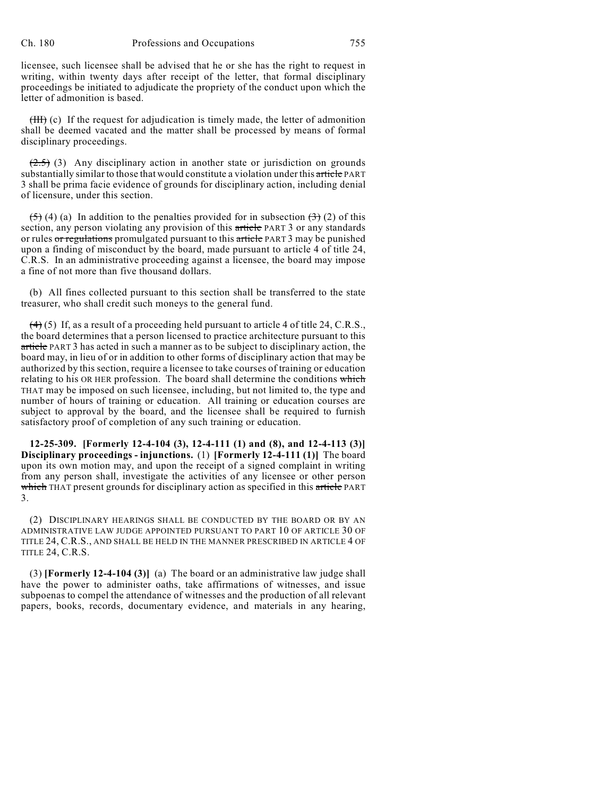licensee, such licensee shall be advised that he or she has the right to request in writing, within twenty days after receipt of the letter, that formal disciplinary proceedings be initiated to adjudicate the propriety of the conduct upon which the letter of admonition is based.

(III) (c) If the request for adjudication is timely made, the letter of admonition shall be deemed vacated and the matter shall be processed by means of formal disciplinary proceedings.

 $(2.5)$  (3) Any disciplinary action in another state or jurisdiction on grounds substantially similar to those that would constitute a violation under this article PART 3 shall be prima facie evidence of grounds for disciplinary action, including denial of licensure, under this section.

 $(5)$  (4) (a) In addition to the penalties provided for in subsection  $(3)$  (2) of this section, any person violating any provision of this article PART 3 or any standards or rules or regulations promulgated pursuant to this article PART 3 may be punished upon a finding of misconduct by the board, made pursuant to article 4 of title 24, C.R.S. In an administrative proceeding against a licensee, the board may impose a fine of not more than five thousand dollars.

(b) All fines collected pursuant to this section shall be transferred to the state treasurer, who shall credit such moneys to the general fund.

 $(4)$  (5) If, as a result of a proceeding held pursuant to article 4 of title 24, C.R.S., the board determines that a person licensed to practice architecture pursuant to this article PART 3 has acted in such a manner as to be subject to disciplinary action, the board may, in lieu of or in addition to other forms of disciplinary action that may be authorized by this section, require a licensee to take courses of training or education relating to his OR HER profession. The board shall determine the conditions which THAT may be imposed on such licensee, including, but not limited to, the type and number of hours of training or education. All training or education courses are subject to approval by the board, and the licensee shall be required to furnish satisfactory proof of completion of any such training or education.

**12-25-309. [Formerly 12-4-104 (3), 12-4-111 (1) and (8), and 12-4-113 (3)] Disciplinary proceedings - injunctions.** (1) **[Formerly 12-4-111 (1)]** The board upon its own motion may, and upon the receipt of a signed complaint in writing from any person shall, investigate the activities of any licensee or other person which THAT present grounds for disciplinary action as specified in this article PART 3.

(2) DISCIPLINARY HEARINGS SHALL BE CONDUCTED BY THE BOARD OR BY AN ADMINISTRATIVE LAW JUDGE APPOINTED PURSUANT TO PART 10 OF ARTICLE 30 OF TITLE 24, C.R.S., AND SHALL BE HELD IN THE MANNER PRESCRIBED IN ARTICLE 4 OF TITLE 24, C.R.S.

(3) **[Formerly 12-4-104 (3)]** (a) The board or an administrative law judge shall have the power to administer oaths, take affirmations of witnesses, and issue subpoenas to compel the attendance of witnesses and the production of all relevant papers, books, records, documentary evidence, and materials in any hearing,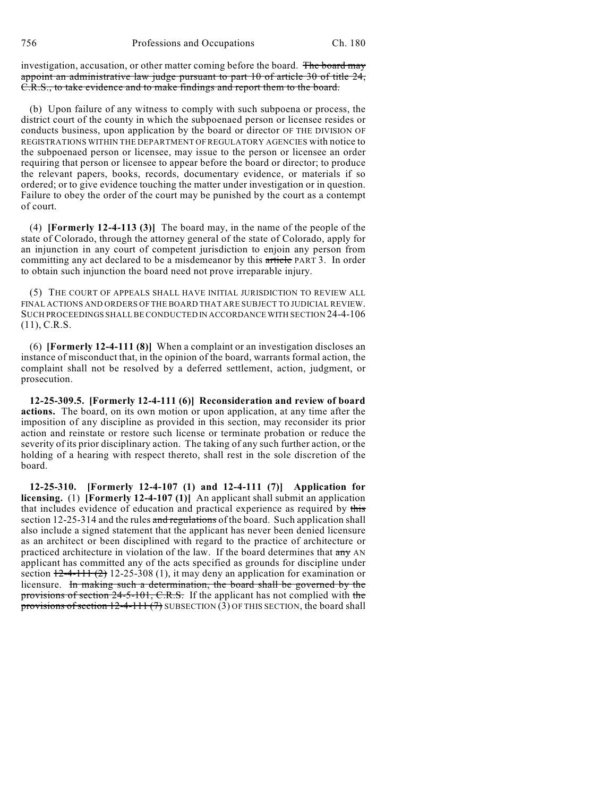investigation, accusation, or other matter coming before the board. The board may appoint an administrative law judge pursuant to part 10 of article 30 of title 24, C.R.S., to take evidence and to make findings and report them to the board.

(b) Upon failure of any witness to comply with such subpoena or process, the district court of the county in which the subpoenaed person or licensee resides or conducts business, upon application by the board or director OF THE DIVISION OF REGISTRATIONS WITHIN THE DEPARTMENT OF REGULATORY AGENCIES with notice to the subpoenaed person or licensee, may issue to the person or licensee an order requiring that person or licensee to appear before the board or director; to produce the relevant papers, books, records, documentary evidence, or materials if so ordered; or to give evidence touching the matter under investigation or in question. Failure to obey the order of the court may be punished by the court as a contempt of court.

(4) **[Formerly 12-4-113 (3)]** The board may, in the name of the people of the state of Colorado, through the attorney general of the state of Colorado, apply for an injunction in any court of competent jurisdiction to enjoin any person from committing any act declared to be a misdemeanor by this article PART 3. In order to obtain such injunction the board need not prove irreparable injury.

(5) THE COURT OF APPEALS SHALL HAVE INITIAL JURISDICTION TO REVIEW ALL FINAL ACTIONS AND ORDERS OF THE BOARD THAT ARE SUBJECT TO JUDICIAL REVIEW. SUCH PROCEEDINGS SHALL BE CONDUCTED IN ACCORDANCE WITH SECTION 24-4-106 (11), C.R.S.

(6) **[Formerly 12-4-111 (8)]** When a complaint or an investigation discloses an instance of misconduct that, in the opinion of the board, warrants formal action, the complaint shall not be resolved by a deferred settlement, action, judgment, or prosecution.

**12-25-309.5. [Formerly 12-4-111 (6)] Reconsideration and review of board actions.** The board, on its own motion or upon application, at any time after the imposition of any discipline as provided in this section, may reconsider its prior action and reinstate or restore such license or terminate probation or reduce the severity of its prior disciplinary action. The taking of any such further action, or the holding of a hearing with respect thereto, shall rest in the sole discretion of the board.

**12-25-310. [Formerly 12-4-107 (1) and 12-4-111 (7)] Application for licensing.** (1) **[Formerly 12-4-107 (1)]** An applicant shall submit an application that includes evidence of education and practical experience as required by this section 12-25-314 and the rules and regulations of the board. Such application shall also include a signed statement that the applicant has never been denied licensure as an architect or been disciplined with regard to the practice of architecture or practiced architecture in violation of the law. If the board determines that any AN applicant has committed any of the acts specified as grounds for discipline under section  $12-4-111$  (2) 12-25-308 (1), it may deny an application for examination or licensure. In making such a determination, the board shall be governed by the provisions of section 24-5-101, C.R.S. If the applicant has not complied with the provisions of section  $12-4-111(7)$  SUBSECTION (3) OF THIS SECTION, the board shall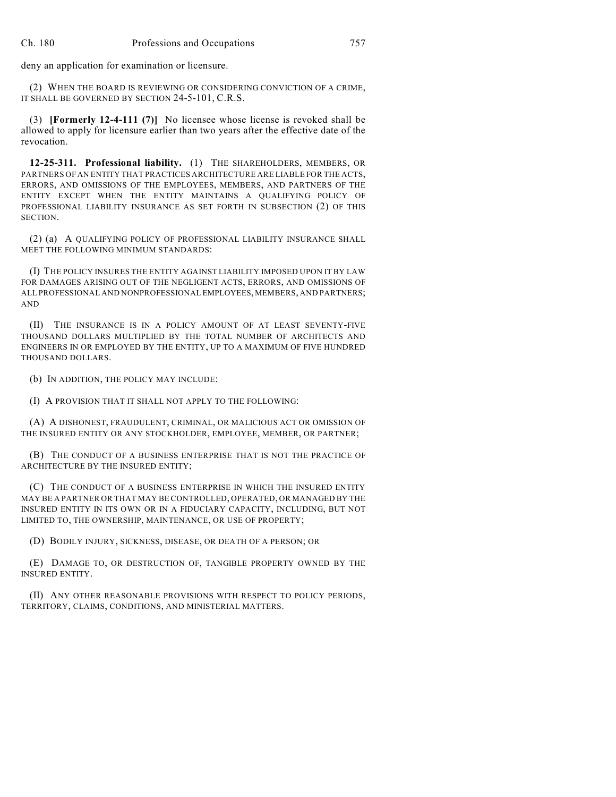deny an application for examination or licensure.

(2) WHEN THE BOARD IS REVIEWING OR CONSIDERING CONVICTION OF A CRIME, IT SHALL BE GOVERNED BY SECTION 24-5-101, C.R.S.

(3) **[Formerly 12-4-111 (7)]** No licensee whose license is revoked shall be allowed to apply for licensure earlier than two years after the effective date of the revocation.

**12-25-311. Professional liability.** (1) THE SHAREHOLDERS, MEMBERS, OR PARTNERS OF AN ENTITY THAT PRACTICES ARCHITECTURE ARE LIABLE FOR THE ACTS, ERRORS, AND OMISSIONS OF THE EMPLOYEES, MEMBERS, AND PARTNERS OF THE ENTITY EXCEPT WHEN THE ENTITY MAINTAINS A QUALIFYING POLICY OF PROFESSIONAL LIABILITY INSURANCE AS SET FORTH IN SUBSECTION (2) OF THIS SECTION.

(2) (a) A QUALIFYING POLICY OF PROFESSIONAL LIABILITY INSURANCE SHALL MEET THE FOLLOWING MINIMUM STANDARDS:

(I) THE POLICY INSURES THE ENTITY AGAINST LIABILITY IMPOSED UPON IT BY LAW FOR DAMAGES ARISING OUT OF THE NEGLIGENT ACTS, ERRORS, AND OMISSIONS OF ALL PROFESSIONAL AND NONPROFESSIONAL EMPLOYEES, MEMBERS, AND PARTNERS; AND

(II) THE INSURANCE IS IN A POLICY AMOUNT OF AT LEAST SEVENTY-FIVE THOUSAND DOLLARS MULTIPLIED BY THE TOTAL NUMBER OF ARCHITECTS AND ENGINEERS IN OR EMPLOYED BY THE ENTITY, UP TO A MAXIMUM OF FIVE HUNDRED THOUSAND DOLLARS.

(b) IN ADDITION, THE POLICY MAY INCLUDE:

(I) A PROVISION THAT IT SHALL NOT APPLY TO THE FOLLOWING:

(A) A DISHONEST, FRAUDULENT, CRIMINAL, OR MALICIOUS ACT OR OMISSION OF THE INSURED ENTITY OR ANY STOCKHOLDER, EMPLOYEE, MEMBER, OR PARTNER;

(B) THE CONDUCT OF A BUSINESS ENTERPRISE THAT IS NOT THE PRACTICE OF ARCHITECTURE BY THE INSURED ENTITY;

(C) THE CONDUCT OF A BUSINESS ENTERPRISE IN WHICH THE INSURED ENTITY MAY BE A PARTNER OR THAT MAY BE CONTROLLED, OPERATED, OR MANAGED BY THE INSURED ENTITY IN ITS OWN OR IN A FIDUCIARY CAPACITY, INCLUDING, BUT NOT LIMITED TO, THE OWNERSHIP, MAINTENANCE, OR USE OF PROPERTY;

(D) BODILY INJURY, SICKNESS, DISEASE, OR DEATH OF A PERSON; OR

(E) DAMAGE TO, OR DESTRUCTION OF, TANGIBLE PROPERTY OWNED BY THE INSURED ENTITY.

(II) ANY OTHER REASONABLE PROVISIONS WITH RESPECT TO POLICY PERIODS, TERRITORY, CLAIMS, CONDITIONS, AND MINISTERIAL MATTERS.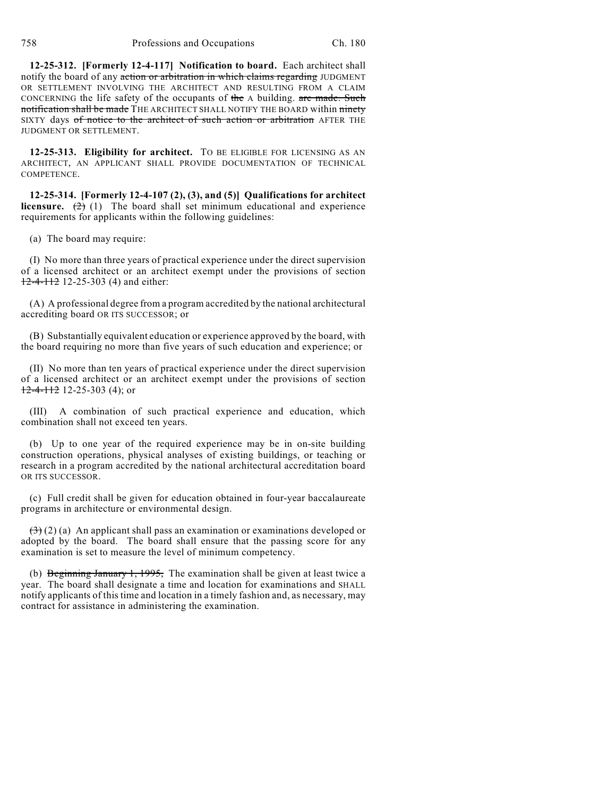**12-25-312. [Formerly 12-4-117] Notification to board.** Each architect shall notify the board of any action or arbitration in which claims regarding JUDGMENT OR SETTLEMENT INVOLVING THE ARCHITECT AND RESULTING FROM A CLAIM CONCERNING the life safety of the occupants of the A building. are made. Such notification shall be made THE ARCHITECT SHALL NOTIFY THE BOARD within ninety SIXTY days of notice to the architect of such action or arbitration AFTER THE JUDGMENT OR SETTLEMENT.

**12-25-313. Eligibility for architect.** TO BE ELIGIBLE FOR LICENSING AS AN ARCHITECT, AN APPLICANT SHALL PROVIDE DOCUMENTATION OF TECHNICAL COMPETENCE.

**12-25-314. [Formerly 12-4-107 (2), (3), and (5)] Qualifications for architect licensure.**  $(2)$  (1) The board shall set minimum educational and experience requirements for applicants within the following guidelines:

(a) The board may require:

(I) No more than three years of practical experience under the direct supervision of a licensed architect or an architect exempt under the provisions of section 12-4-112 12-25-303 (4) and either:

(A) A professional degree from a program accredited by the national architectural accrediting board OR ITS SUCCESSOR; or

(B) Substantially equivalent education or experience approved by the board, with the board requiring no more than five years of such education and experience; or

(II) No more than ten years of practical experience under the direct supervision of a licensed architect or an architect exempt under the provisions of section  $12-4-112$  12-25-303 (4); or

(III) A combination of such practical experience and education, which combination shall not exceed ten years.

(b) Up to one year of the required experience may be in on-site building construction operations, physical analyses of existing buildings, or teaching or research in a program accredited by the national architectural accreditation board OR ITS SUCCESSOR.

(c) Full credit shall be given for education obtained in four-year baccalaureate programs in architecture or environmental design.

 $(3)(2)$  (a) An applicant shall pass an examination or examinations developed or adopted by the board. The board shall ensure that the passing score for any examination is set to measure the level of minimum competency.

(b) Beginning January 1, 1995, The examination shall be given at least twice a year. The board shall designate a time and location for examinations and SHALL notify applicants of this time and location in a timely fashion and, as necessary, may contract for assistance in administering the examination.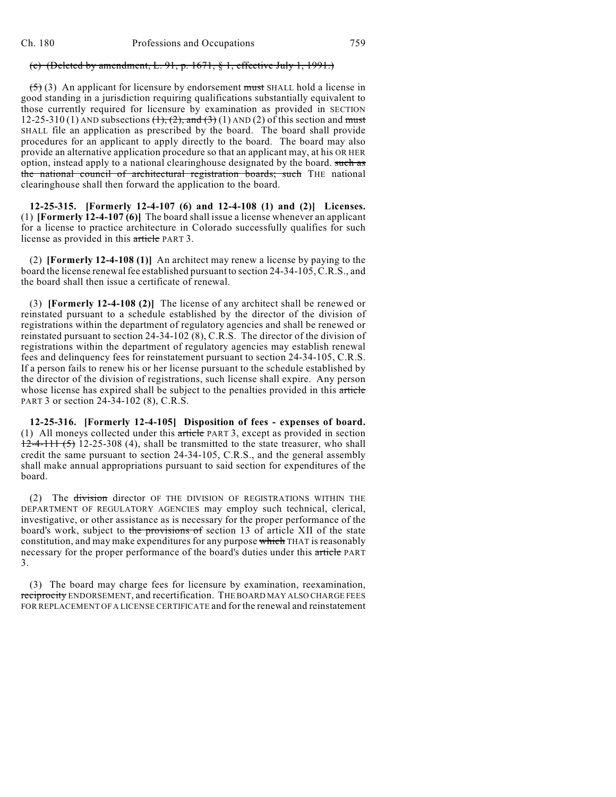### (c) (Deleted by amendment, L. 91, p.  $1671$ ,  $\S$  1, effective July 1, 1991.)

 $(5)$  (3) An applicant for licensure by endorsement must SHALL hold a license in good standing in a jurisdiction requiring qualifications substantially equivalent to those currently required for licensure by examination as provided in SECTION 12-25-310 (1) AND subsections  $(\frac{1}{1}, \frac{2}{2}, \frac{1}{2})$  and  $(\frac{3}{2})$  (1) AND (2) of this section and must SHALL file an application as prescribed by the board. The board shall provide procedures for an applicant to apply directly to the board. The board may also provide an alternative application procedure so that an applicant may, at his OR HER option, instead apply to a national clearinghouse designated by the board. such as the national council of architectural registration boards; such THE national clearinghouse shall then forward the application to the board.

**12-25-315. [Formerly 12-4-107 (6) and 12-4-108 (1) and (2)] Licenses.** (1) **[Formerly 12-4-107 (6)]** The board shall issue a license whenever an applicant for a license to practice architecture in Colorado successfully qualifies for such license as provided in this article PART 3.

(2) **[Formerly 12-4-108 (1)]** An architect may renew a license by paying to the board the license renewalfee established pursuant to section 24-34-105, C.R.S., and the board shall then issue a certificate of renewal.

(3) **[Formerly 12-4-108 (2)]** The license of any architect shall be renewed or reinstated pursuant to a schedule established by the director of the division of registrations within the department of regulatory agencies and shall be renewed or reinstated pursuant to section 24-34-102 (8), C.R.S. The director of the division of registrations within the department of regulatory agencies may establish renewal fees and delinquency fees for reinstatement pursuant to section 24-34-105, C.R.S. If a person fails to renew his or her license pursuant to the schedule established by the director of the division of registrations, such license shall expire. Any person whose license has expired shall be subject to the penalties provided in this article PART 3 or section 24-34-102 (8), C.R.S.

**12-25-316. [Formerly 12-4-105] Disposition of fees - expenses of board.** (1) All moneys collected under this article PART 3, except as provided in section  $12-4-111(5)$  12-25-308 (4), shall be transmitted to the state treasurer, who shall credit the same pursuant to section 24-34-105, C.R.S., and the general assembly shall make annual appropriations pursuant to said section for expenditures of the board.

(2) The division director OF THE DIVISION OF REGISTRATIONS WITHIN THE DEPARTMENT OF REGULATORY AGENCIES may employ such technical, clerical, investigative, or other assistance as is necessary for the proper performance of the board's work, subject to the provisions of section 13 of article XII of the state constitution, and may make expenditures for any purpose which THAT is reasonably necessary for the proper performance of the board's duties under this article PART 3.

(3) The board may charge fees for licensure by examination, reexamination, reciprocity ENDORSEMENT, and recertification. THE BOARD MAY ALSO CHARGE FEES FOR REPLACEMENT OF A LICENSE CERTIFICATE and for the renewal and reinstatement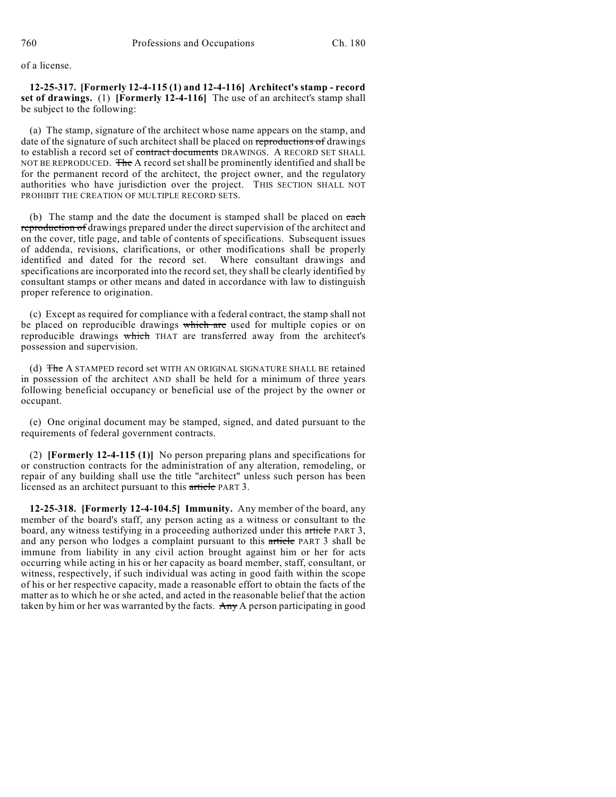of a license.

**12-25-317. [Formerly 12-4-115 (1) and 12-4-116] Architect's stamp - record set of drawings.** (1) **[Formerly 12-4-116]** The use of an architect's stamp shall be subject to the following:

(a) The stamp, signature of the architect whose name appears on the stamp, and date of the signature of such architect shall be placed on reproductions of drawings to establish a record set of contract documents DRAWINGS. A RECORD SET SHALL NOT BE REPRODUCED. The A record set shall be prominently identified and shall be for the permanent record of the architect, the project owner, and the regulatory authorities who have jurisdiction over the project. THIS SECTION SHALL NOT PROHIBIT THE CREATION OF MULTIPLE RECORD SETS.

(b) The stamp and the date the document is stamped shall be placed on each reproduction of drawings prepared under the direct supervision of the architect and on the cover, title page, and table of contents of specifications. Subsequent issues of addenda, revisions, clarifications, or other modifications shall be properly identified and dated for the record set. Where consultant drawings and specifications are incorporated into the record set, they shall be clearly identified by consultant stamps or other means and dated in accordance with law to distinguish proper reference to origination.

(c) Except as required for compliance with a federal contract, the stamp shall not be placed on reproducible drawings which are used for multiple copies or on reproducible drawings which THAT are transferred away from the architect's possession and supervision.

(d) The A STAMPED record set WITH AN ORIGINAL SIGNATURE SHALL BE retained in possession of the architect AND shall be held for a minimum of three years following beneficial occupancy or beneficial use of the project by the owner or occupant.

(e) One original document may be stamped, signed, and dated pursuant to the requirements of federal government contracts.

(2) **[Formerly 12-4-115 (1)]** No person preparing plans and specifications for or construction contracts for the administration of any alteration, remodeling, or repair of any building shall use the title "architect" unless such person has been licensed as an architect pursuant to this article PART 3.

**12-25-318. [Formerly 12-4-104.5] Immunity.** Any member of the board, any member of the board's staff, any person acting as a witness or consultant to the board, any witness testifying in a proceeding authorized under this article PART 3, and any person who lodges a complaint pursuant to this article PART 3 shall be immune from liability in any civil action brought against him or her for acts occurring while acting in his or her capacity as board member, staff, consultant, or witness, respectively, if such individual was acting in good faith within the scope of his or her respective capacity, made a reasonable effort to obtain the facts of the matter as to which he or she acted, and acted in the reasonable belief that the action taken by him or her was warranted by the facts. Any A person participating in good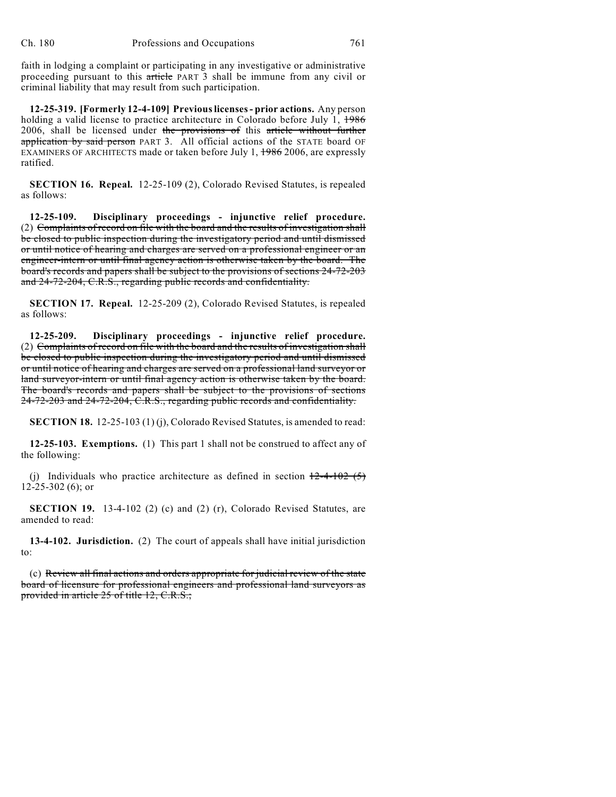faith in lodging a complaint or participating in any investigative or administrative proceeding pursuant to this article PART 3 shall be immune from any civil or criminal liability that may result from such participation.

**12-25-319. [Formerly 12-4-109] Previous licenses - prior actions.** Any person holding a valid license to practice architecture in Colorado before July 1,  $\frac{1986}{1000}$ 2006, shall be licensed under the provisions of this article without further application by said person PART 3. All official actions of the STATE board OF EXAMINERS OF ARCHITECTS made or taken before July 1, 1986 2006, are expressly ratified.

**SECTION 16. Repeal.** 12-25-109 (2), Colorado Revised Statutes, is repealed as follows:

**12-25-109. Disciplinary proceedings - injunctive relief procedure.** (2) Complaints of record on file with the board and the results of investigation shall be closed to public inspection during the investigatory period and until dismissed or until notice of hearing and charges are served on a professional engineer or an engineer-intern or until final agency action is otherwise taken by the board. The board's records and papers shall be subject to the provisions of sections 24-72-203 and 24-72-204, C.R.S., regarding public records and confidentiality.

**SECTION 17. Repeal.** 12-25-209 (2), Colorado Revised Statutes, is repealed as follows:

**12-25-209. Disciplinary proceedings - injunctive relief procedure.** (2) Complaints of record on file with the board and the results of investigation shall be closed to public inspection during the investigatory period and until dismissed or until notice of hearing and charges are served on a professional land surveyor or land surveyor-intern or until final agency action is otherwise taken by the board. The board's records and papers shall be subject to the provisions of sections 24-72-203 and 24-72-204, C.R.S., regarding public records and confidentiality.

**SECTION 18.** 12-25-103 (1) (j), Colorado Revised Statutes, is amended to read:

**12-25-103. Exemptions.** (1) This part 1 shall not be construed to affect any of the following:

(j) Individuals who practice architecture as defined in section  $12-4-102(5)$ 12-25-302 (6); or

**SECTION 19.** 13-4-102 (2) (c) and (2) (r), Colorado Revised Statutes, are amended to read:

**13-4-102. Jurisdiction.** (2) The court of appeals shall have initial jurisdiction to:

(c) Review all final actions and orders appropriate for judicial review of the state board of licensure for professional engineers and professional land surveyors as provided in article 25 of title 12, C.R.S.;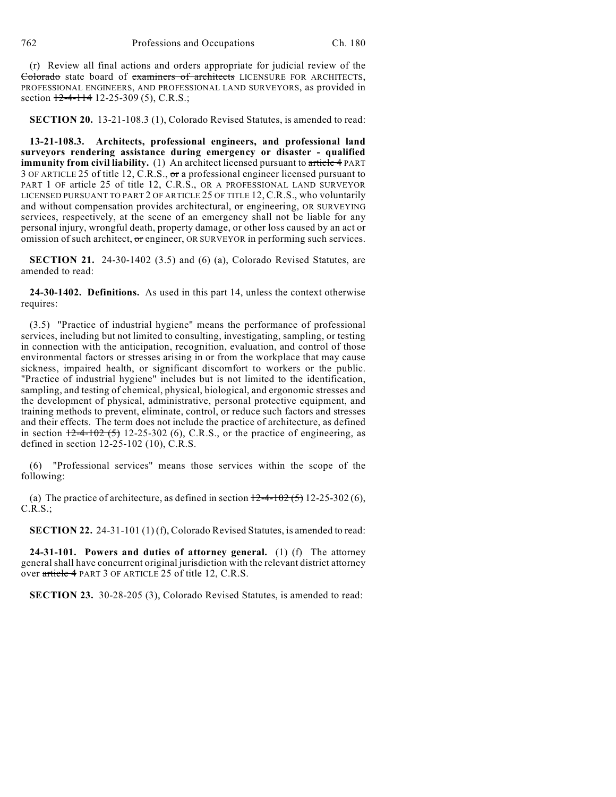(r) Review all final actions and orders appropriate for judicial review of the Colorado state board of examiners of architects LICENSURE FOR ARCHITECTS, PROFESSIONAL ENGINEERS, AND PROFESSIONAL LAND SURVEYORS, as provided in section  $12-4-114$  12-25-309 (5), C.R.S.;

**SECTION 20.** 13-21-108.3 (1), Colorado Revised Statutes, is amended to read:

**13-21-108.3. Architects, professional engineers, and professional land surveyors rendering assistance during emergency or disaster - qualified immunity from civil liability.** (1) An architect licensed pursuant to article 4 PART 3 OF ARTICLE 25 of title 12, C.R.S., or a professional engineer licensed pursuant to PART 1 OF article 25 of title 12, C.R.S., OR A PROFESSIONAL LAND SURVEYOR LICENSED PURSUANT TO PART 2 OF ARTICLE 25 OF TITLE 12, C.R.S., who voluntarily and without compensation provides architectural, or engineering, OR SURVEYING services, respectively, at the scene of an emergency shall not be liable for any personal injury, wrongful death, property damage, or other loss caused by an act or omission of such architect, or engineer, OR SURVEYOR in performing such services.

**SECTION 21.** 24-30-1402 (3.5) and (6) (a), Colorado Revised Statutes, are amended to read:

**24-30-1402. Definitions.** As used in this part 14, unless the context otherwise requires:

(3.5) "Practice of industrial hygiene" means the performance of professional services, including but not limited to consulting, investigating, sampling, or testing in connection with the anticipation, recognition, evaluation, and control of those environmental factors or stresses arising in or from the workplace that may cause sickness, impaired health, or significant discomfort to workers or the public. "Practice of industrial hygiene" includes but is not limited to the identification, sampling, and testing of chemical, physical, biological, and ergonomic stresses and the development of physical, administrative, personal protective equipment, and training methods to prevent, eliminate, control, or reduce such factors and stresses and their effects. The term does not include the practice of architecture, as defined in section  $\frac{12-4-102(5)}{5}$  12-25-302 (6), C.R.S., or the practice of engineering, as defined in section 12-25-102 (10), C.R.S.

(6) "Professional services" means those services within the scope of the following:

(a) The practice of architecture, as defined in section  $\frac{12-4-102(5)}{5}$  12-25-302 (6),  $C.R.S.:$ 

**SECTION 22.** 24-31-101 (1) (f), Colorado Revised Statutes, is amended to read:

**24-31-101. Powers and duties of attorney general.** (1) (f) The attorney general shall have concurrent original jurisdiction with the relevant district attorney over article 4 PART 3 OF ARTICLE 25 of title 12, C.R.S.

**SECTION 23.** 30-28-205 (3), Colorado Revised Statutes, is amended to read: